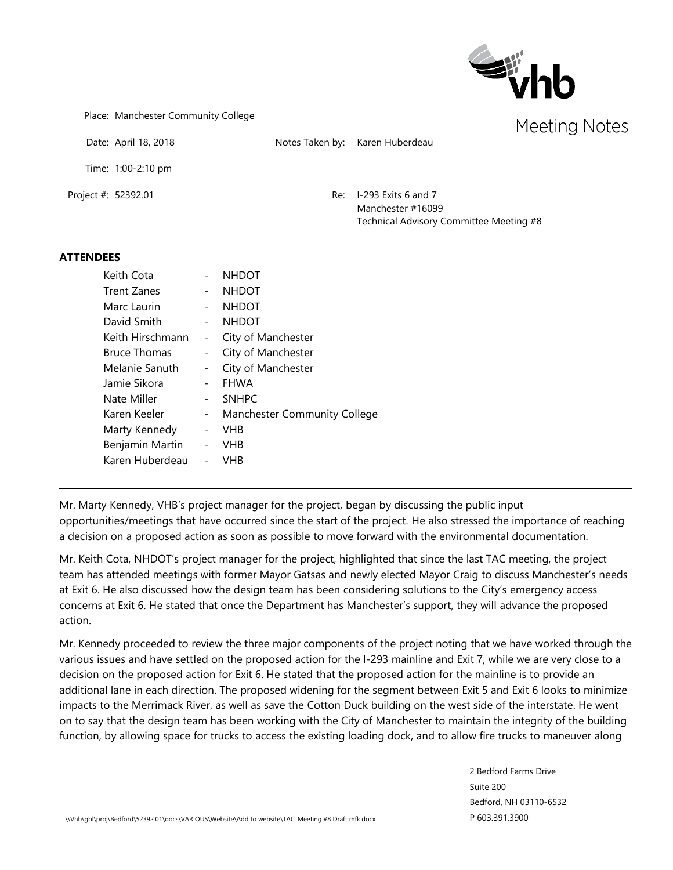

Place: Manchester Community College

Date: April 18, 2018 Notes Taken by: Karen Huberdeau

Time: 1:00-2:10 pm

Project #: 52392.01 Re: I-293 Exits 6 and 7 Manchester #16099 Technical Advisory Committee Meeting #8

#### **ATTENDEES**

| Keith Cota          |                   | <b>NHDOT</b>                        |
|---------------------|-------------------|-------------------------------------|
| Trent Zanes         |                   | <b>NHDOT</b>                        |
| Marc Laurin         |                   | <b>NHDOT</b>                        |
| David Smith         |                   | <b>NHDOT</b>                        |
| Keith Hirschmann    |                   | City of Manchester                  |
| <b>Bruce Thomas</b> | -                 | City of Manchester                  |
| Melanie Sanuth      | $\qquad \qquad -$ | City of Manchester                  |
| Jamie Sikora        |                   | <b>FHWA</b>                         |
| Nate Miller         |                   | <b>SNHPC</b>                        |
| Karen Keeler        | $\qquad \qquad -$ | <b>Manchester Community College</b> |
| Marty Kennedy       |                   | VHB                                 |
| Benjamin Martin     | $\qquad \qquad -$ | VHB                                 |
| Karen Huberdeau     |                   | VHB                                 |

Mr. Marty Kennedy, VHB's project manager for the project, began by discussing the public input opportunities/meetings that have occurred since the start of the project. He also stressed the importance of reaching a decision on a proposed action as soon as possible to move forward with the environmental documentation.

Mr. Keith Cota, NHDOT's project manager for the project, highlighted that since the last TAC meeting, the project team has attended meetings with former Mayor Gatsas and newly elected Mayor Craig to discuss Manchester's needs at Exit 6. He also discussed how the design team has been considering solutions to the City's emergency access concerns at Exit 6. He stated that once the Department has Manchester's support, they will advance the proposed action.

Mr. Kennedy proceeded to review the three major components of the project noting that we have worked through the various issues and have settled on the proposed action for the I-293 mainline and Exit 7, while we are very close to a decision on the proposed action for Exit 6. He stated that the proposed action for the mainline is to provide an additional lane in each direction. The proposed widening for the segment between Exit 5 and Exit 6 looks to minimize impacts to the Merrimack River, as well as save the Cotton Duck building on the west side of the interstate. He went on to say that the design team has been working with the City of Manchester to maintain the integrity of the building function, by allowing space for trucks to access the existing loading dock, and to allow fire trucks to maneuver along

> 2 Bedford Farms Drive Suite 200 Bedford, NH 03110-6532 P 603.391.3900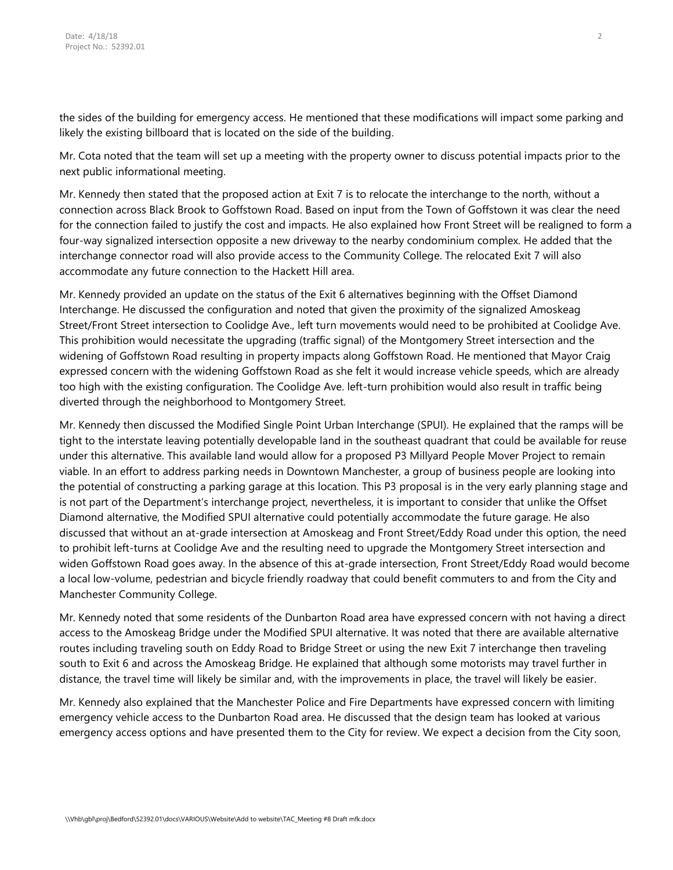the sides of the building for emergency access. He mentioned that these modifications will impact some parking and likely the existing billboard that is located on the side of the building.

Mr. Cota noted that the team will set up a meeting with the property owner to discuss potential impacts prior to the next public informational meeting.

Mr. Kennedy then stated that the proposed action at Exit 7 is to relocate the interchange to the north, without a connection across Black Brook to Goffstown Road. Based on input from the Town of Goffstown it was clear the need for the connection failed to justify the cost and impacts. He also explained how Front Street will be realigned to form a four-way signalized intersection opposite a new driveway to the nearby condominium complex. He added that the interchange connector road will also provide access to the Community College. The relocated Exit 7 will also accommodate any future connection to the Hackett Hill area.

Mr. Kennedy provided an update on the status of the Exit 6 alternatives beginning with the Offset Diamond Interchange. He discussed the configuration and noted that given the proximity of the signalized Amoskeag Street/Front Street intersection to Coolidge Ave., left turn movements would need to be prohibited at Coolidge Ave. This prohibition would necessitate the upgrading (traffic signal) of the Montgomery Street intersection and the widening of Goffstown Road resulting in property impacts along Goffstown Road. He mentioned that Mayor Craig expressed concern with the widening Goffstown Road as she felt it would increase vehicle speeds, which are already too high with the existing configuration. The Coolidge Ave. left-turn prohibition would also result in traffic being diverted through the neighborhood to Montgomery Street.

Mr. Kennedy then discussed the Modified Single Point Urban Interchange (SPUI). He explained that the ramps will be tight to the interstate leaving potentially developable land in the southeast quadrant that could be available for reuse under this alternative. This available land would allow for a proposed P3 Millyard People Mover Project to remain viable. In an effort to address parking needs in Downtown Manchester, a group of business people are looking into the potential of constructing a parking garage at this location. This P3 proposal is in the very early planning stage and is not part of the Department's interchange project, nevertheless, it is important to consider that unlike the Offset Diamond alternative, the Modified SPUI alternative could potentially accommodate the future garage. He also discussed that without an at-grade intersection at Amoskeag and Front Street/Eddy Road under this option, the need to prohibit left-turns at Coolidge Ave and the resulting need to upgrade the Montgomery Street intersection and widen Goffstown Road goes away. In the absence of this at-grade intersection, Front Street/Eddy Road would become a local low-volume, pedestrian and bicycle friendly roadway that could benefit commuters to and from the City and Manchester Community College.

Mr. Kennedy noted that some residents of the Dunbarton Road area have expressed concern with not having a direct access to the Amoskeag Bridge under the Modified SPUI alternative. It was noted that there are available alternative routes including traveling south on Eddy Road to Bridge Street or using the new Exit 7 interchange then traveling south to Exit 6 and across the Amoskeag Bridge. He explained that although some motorists may travel further in distance, the travel time will likely be similar and, with the improvements in place, the travel will likely be easier.

Mr. Kennedy also explained that the Manchester Police and Fire Departments have expressed concern with limiting emergency vehicle access to the Dunbarton Road area. He discussed that the design team has looked at various emergency access options and have presented them to the City for review. We expect a decision from the City soon,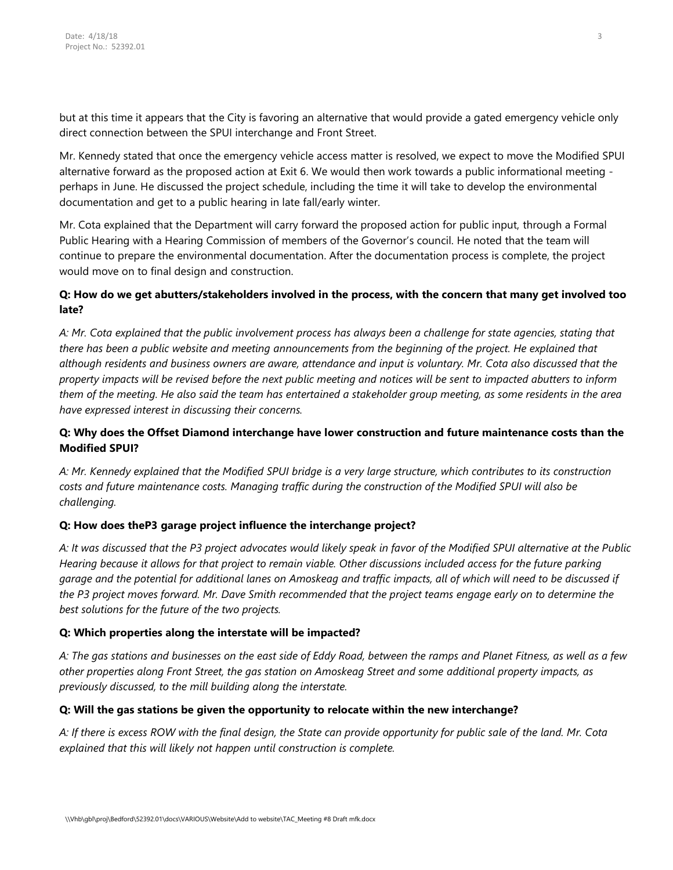but at this time it appears that the City is favoring an alternative that would provide a gated emergency vehicle only direct connection between the SPUI interchange and Front Street.

Mr. Kennedy stated that once the emergency vehicle access matter is resolved, we expect to move the Modified SPUI alternative forward as the proposed action at Exit 6. We would then work towards a public informational meeting perhaps in June. He discussed the project schedule, including the time it will take to develop the environmental documentation and get to a public hearing in late fall/early winter.

Mr. Cota explained that the Department will carry forward the proposed action for public input, through a Formal Public Hearing with a Hearing Commission of members of the Governor's council. He noted that the team will continue to prepare the environmental documentation. After the documentation process is complete, the project would move on to final design and construction.

### **Q: How do we get abutters/stakeholders involved in the process, with the concern that many get involved too late?**

*A: Mr. Cota explained that the public involvement process has always been a challenge for state agencies, stating that there has been a public website and meeting announcements from the beginning of the project. He explained that although residents and business owners are aware, attendance and input is voluntary. Mr. Cota also discussed that the property impacts will be revised before the next public meeting and notices will be sent to impacted abutters to inform them of the meeting. He also said the team has entertained a stakeholder group meeting, as some residents in the area have expressed interest in discussing their concerns.* 

## **Q: Why does the Offset Diamond interchange have lower construction and future maintenance costs than the Modified SPUI?**

*A: Mr. Kennedy explained that the Modified SPUI bridge is a very large structure, which contributes to its construction costs and future maintenance costs. Managing traffic during the construction of the Modified SPUI will also be challenging.*

# **Q: How does theP3 garage project influence the interchange project?**

*A: It was discussed that the P3 project advocates would likely speak in favor of the Modified SPUI alternative at the Public Hearing because it allows for that project to remain viable. Other discussions included access for the future parking garage and the potential for additional lanes on Amoskeag and traffic impacts, all of which will need to be discussed if the P3 project moves forward. Mr. Dave Smith recommended that the project teams engage early on to determine the best solutions for the future of the two projects.*

### **Q: Which properties along the interstate will be impacted?**

*A: The gas stations and businesses on the east side of Eddy Road, between the ramps and Planet Fitness, as well as a few other properties along Front Street, the gas station on Amoskeag Street and some additional property impacts, as previously discussed, to the mill building along the interstate.* 

### **Q: Will the gas stations be given the opportunity to relocate within the new interchange?**

*A: If there is excess ROW with the final design, the State can provide opportunity for public sale of the land. Mr. Cota explained that this will likely not happen until construction is complete.*